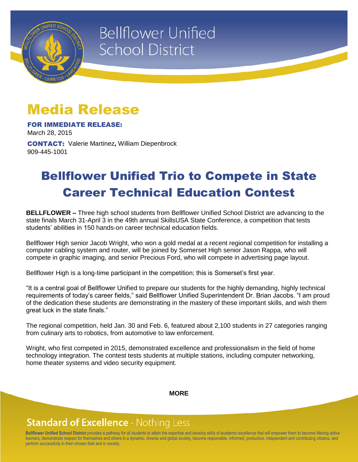

# **Bellflower Unified School District**

## Media Release

FOR IMMEDIATE RELEASE: March 28, 2015

CONTACT: Valerie Martinez**,** William Diepenbrock 909-445-1001

### Bellflower Unified Trio to Compete in State Career Technical Education Contest

**BELLFLOWER –** Three high school students from Bellflower Unified School District are advancing to the state finals March 31-April 3 in the 49th annual SkillsUSA State Conference, a competition that tests students' abilities in 150 hands-on career technical education fields.

Bellflower High senior Jacob Wright, who won a gold medal at a recent regional competition for installing a computer cabling system and router, will be joined by Somerset High senior Jason Rappa, who will compete in graphic imaging, and senior Precious Ford, who will compete in advertising page layout.

Bellflower High is a long-time participant in the competition; this is Somerset's first year.

"It is a central goal of Bellflower Unified to prepare our students for the highly demanding, highly technical requirements of today's career fields," said Bellflower Unified Superintendent Dr. Brian Jacobs. "I am proud of the dedication these students are demonstrating in the mastery of these important skills, and wish them great luck in the state finals."

The regional competition, held Jan. 30 and Feb. 6, featured about 2,100 students in 27 categories ranging from culinary arts to robotics, from automotive to law enforcement.

Wright, who first competed in 2015, demonstrated excellence and professionalism in the field of home technology integration. The contest tests students at multiple stations, including computer networking, home theater systems and video security equipment.

**MORE**

#### **Standard of Excellence - Nothing Less**

**Bellflower Unified School District** provides a pathway for all students to attain the expertise and develop skills of academic excellence that will empower them to become lifelong active learners, demonstrate respect for themselves and others in a dynamic, diverse and global society, become responsible, informed, productive, independent and contributing citizens, and perform successfully in their chosen field and in society.